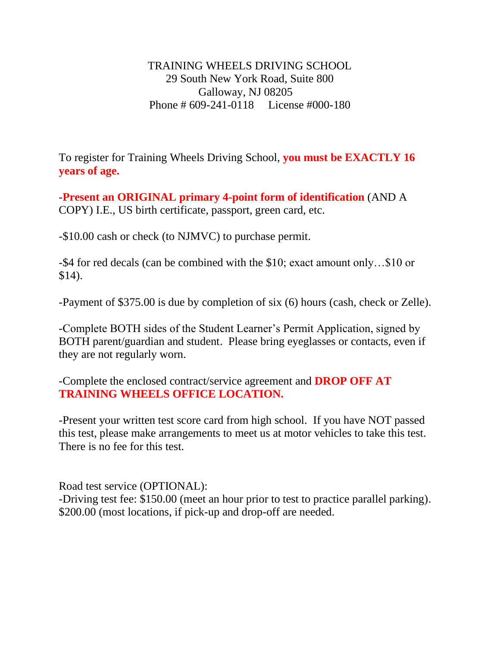TRAINING WHEELS DRIVING SCHOOL 29 South New York Road, Suite 800 Galloway, NJ 08205 Phone # 609-241-0118 License #000-180

To register for Training Wheels Driving School, **you must be EXACTLY 16 years of age.**

-**Present an ORIGINAL primary 4-point form of identification** (AND A COPY) I.E., US birth certificate, passport, green card, etc.

-\$10.00 cash or check (to NJMVC) to purchase permit.

-\$4 for red decals (can be combined with the \$10; exact amount only…\$10 or \$14).

-Payment of \$375.00 is due by completion of six (6) hours (cash, check or Zelle).

-Complete BOTH sides of the Student Learner's Permit Application, signed by BOTH parent/guardian and student. Please bring eyeglasses or contacts, even if they are not regularly worn.

-Complete the enclosed contract/service agreement and **DROP OFF AT TRAINING WHEELS OFFICE LOCATION.** 

-Present your written test score card from high school. If you have NOT passed this test, please make arrangements to meet us at motor vehicles to take this test. There is no fee for this test.

Road test service (OPTIONAL): -Driving test fee: \$150.00 (meet an hour prior to test to practice parallel parking). \$200.00 (most locations, if pick-up and drop-off are needed.